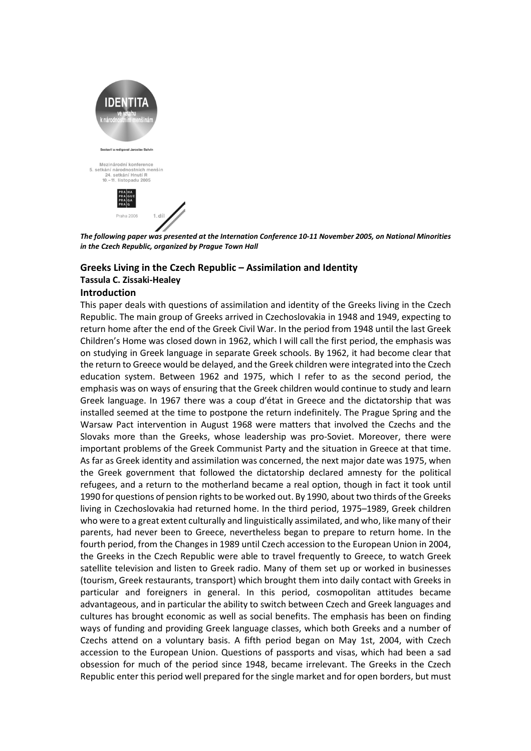

*The following paper was presented at the Internation Conference 10-11 November 2005, on National Minorities in the Czech Republic, organized by Prague Town Hall* 

## **Greeks Living in the Czech Republic – Assimilation and Identity Tassula C. Zissaki-Healey**

## **Introduction**

This paper deals with questions of assimilation and identity of the Greeks living in the Czech Republic. The main group of Greeks arrived in Czechoslovakia in 1948 and 1949, expecting to return home after the end of the Greek Civil War. In the period from 1948 until the last Greek Children's Home was closed down in 1962, which I will call the first period, the emphasis was on studying in Greek language in separate Greek schools. By 1962, it had become clear that the return to Greece would be delayed, and the Greek children were integrated into the Czech education system. Between 1962 and 1975, which I refer to as the second period, the emphasis was on ways of ensuring that the Greek children would continue to study and learn Greek language. In 1967 there was a coup d'état in Greece and the dictatorship that was installed seemed at the time to postpone the return indefinitely. The Prague Spring and the Warsaw Pact intervention in August 1968 were matters that involved the Czechs and the Slovaks more than the Greeks, whose leadership was pro-Soviet. Moreover, there were important problems of the Greek Communist Party and the situation in Greece at that time. As far as Greek identity and assimilation was concerned, the next major date was 1975, when the Greek government that followed the dictatorship declared amnesty for the political refugees, and a return to the motherland became a real option, though in fact it took until 1990 for questions of pension rights to be worked out. By 1990, about two thirds of the Greeks living in Czechoslovakia had returned home. In the third period, 1975–1989, Greek children who were to a great extent culturally and linguistically assimilated, and who, like many of their parents, had never been to Greece, nevertheless began to prepare to return home. In the fourth period, from the Changes in 1989 until Czech accession to the European Union in 2004, the Greeks in the Czech Republic were able to travel frequently to Greece, to watch Greek satellite television and listen to Greek radio. Many of them set up or worked in businesses (tourism, Greek restaurants, transport) which brought them into daily contact with Greeks in particular and foreigners in general. In this period, cosmopolitan attitudes became advantageous, and in particular the ability to switch between Czech and Greek languages and cultures has brought economic as well as social benefits. The emphasis has been on finding ways of funding and providing Greek language classes, which both Greeks and a number of Czechs attend on a voluntary basis. A fifth period began on May 1st, 2004, with Czech accession to the European Union. Questions of passports and visas, which had been a sad obsession for much of the period since 1948, became irrelevant. The Greeks in the Czech Republic enter this period well prepared for the single market and for open borders, but must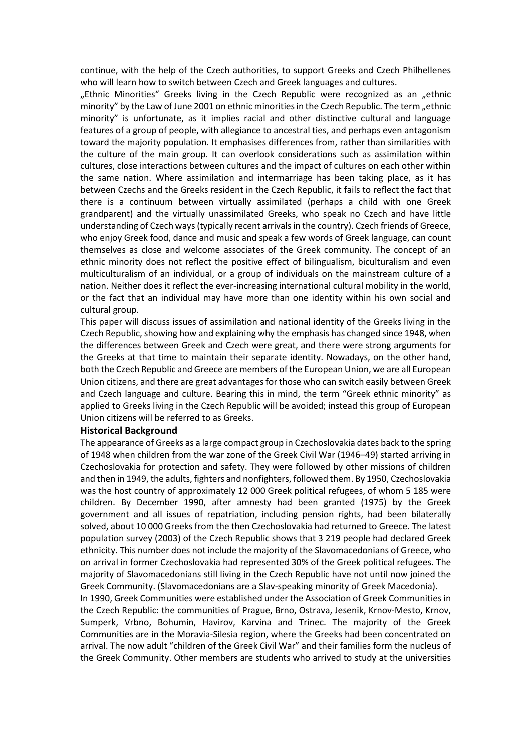continue, with the help of the Czech authorities, to support Greeks and Czech Philhellenes who will learn how to switch between Czech and Greek languages and cultures.

"Ethnic Minorities" Greeks living in the Czech Republic were recognized as an "ethnic minority" by the Law of June 2001 on ethnic minorities in the Czech Republic. The term "ethnic minority" is unfortunate, as it implies racial and other distinctive cultural and language features of a group of people, with allegiance to ancestral ties, and perhaps even antagonism toward the majority population. It emphasises differences from, rather than similarities with the culture of the main group. It can overlook considerations such as assimilation within cultures, close interactions between cultures and the impact of cultures on each other within the same nation. Where assimilation and intermarriage has been taking place, as it has between Czechs and the Greeks resident in the Czech Republic, it fails to reflect the fact that there is a continuum between virtually assimilated (perhaps a child with one Greek grandparent) and the virtually unassimilated Greeks, who speak no Czech and have little understanding of Czech ways (typically recent arrivals in the country). Czech friends of Greece, who enjoy Greek food, dance and music and speak a few words of Greek language, can count themselves as close and welcome associates of the Greek community. The concept of an ethnic minority does not reflect the positive effect of bilingualism, biculturalism and even multiculturalism of an individual, or a group of individuals on the mainstream culture of a nation. Neither does it reflect the ever-increasing international cultural mobility in the world, or the fact that an individual may have more than one identity within his own social and cultural group.

This paper will discuss issues of assimilation and national identity of the Greeks living in the Czech Republic, showing how and explaining why the emphasis has changed since 1948, when the differences between Greek and Czech were great, and there were strong arguments for the Greeks at that time to maintain their separate identity. Nowadays, on the other hand, both the Czech Republic and Greece are members of the European Union, we are all European Union citizens, and there are great advantages for those who can switch easily between Greek and Czech language and culture. Bearing this in mind, the term "Greek ethnic minority" as applied to Greeks living in the Czech Republic will be avoided; instead this group of European Union citizens will be referred to as Greeks.

#### **Historical Background**

The appearance of Greeks as a large compact group in Czechoslovakia dates back to the spring of 1948 when children from the war zone of the Greek Civil War (1946–49) started arriving in Czechoslovakia for protection and safety. They were followed by other missions of children and then in 1949, the adults, fighters and nonfighters, followed them. By 1950, Czechoslovakia was the host country of approximately 12 000 Greek political refugees, of whom 5 185 were children. By December 1990, after amnesty had been granted (1975) by the Greek government and all issues of repatriation, including pension rights, had been bilaterally solved, about 10 000 Greeks from the then Czechoslovakia had returned to Greece. The latest population survey (2003) of the Czech Republic shows that 3 219 people had declared Greek ethnicity. This number does not include the majority of the Slavomacedonians of Greece, who on arrival in former Czechoslovakia had represented 30% of the Greek political refugees. The majority of Slavomacedonians still living in the Czech Republic have not until now joined the Greek Community. (Slavomacedonians are a Slav-speaking minority of Greek Macedonia).

In 1990, Greek Communities were established under the Association of Greek Communities in the Czech Republic: the communities of Prague, Brno, Ostrava, Jesenik, Krnov-Mesto, Krnov, Sumperk, Vrbno, Bohumin, Havirov, Karvina and Trinec. The majority of the Greek Communities are in the Moravia-Silesia region, where the Greeks had been concentrated on arrival. The now adult "children of the Greek Civil War" and their families form the nucleus of the Greek Community. Other members are students who arrived to study at the universities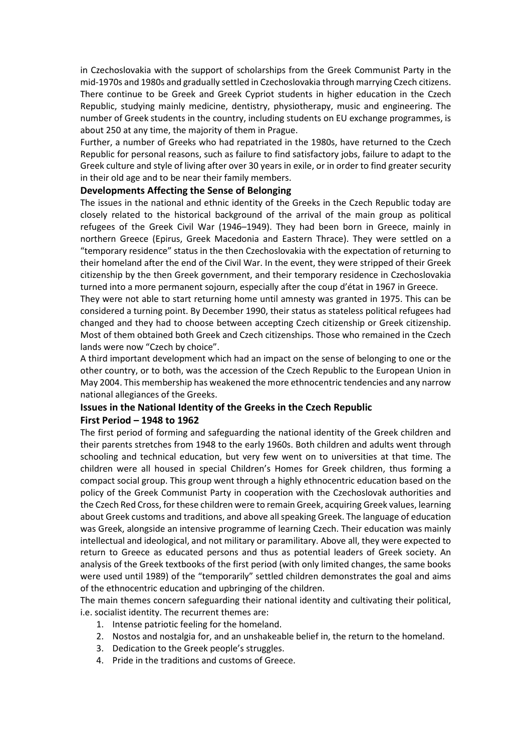in Czechoslovakia with the support of scholarships from the Greek Communist Party in the mid-1970s and 1980s and gradually settled in Czechoslovakia through marrying Czech citizens. There continue to be Greek and Greek Cypriot students in higher education in the Czech Republic, studying mainly medicine, dentistry, physiotherapy, music and engineering. The number of Greek students in the country, including students on EU exchange programmes, is about 250 at any time, the majority of them in Prague.

Further, a number of Greeks who had repatriated in the 1980s, have returned to the Czech Republic for personal reasons, such as failure to find satisfactory jobs, failure to adapt to the Greek culture and style of living after over 30 years in exile, or in order to find greater security in their old age and to be near their family members.

## **Developments Affecting the Sense of Belonging**

The issues in the national and ethnic identity of the Greeks in the Czech Republic today are closely related to the historical background of the arrival of the main group as political refugees of the Greek Civil War (1946–1949). They had been born in Greece, mainly in northern Greece (Epirus, Greek Macedonia and Eastern Thrace). They were settled on a "temporary residence" status in the then Czechoslovakia with the expectation of returning to their homeland after the end of the Civil War. In the event, they were stripped of their Greek citizenship by the then Greek government, and their temporary residence in Czechoslovakia turned into a more permanent sojourn, especially after the coup d'état in 1967 in Greece.

They were not able to start returning home until amnesty was granted in 1975. This can be considered a turning point. By December 1990, their status as stateless political refugees had changed and they had to choose between accepting Czech citizenship or Greek citizenship. Most of them obtained both Greek and Czech citizenships. Those who remained in the Czech lands were now "Czech by choice".

A third important development which had an impact on the sense of belonging to one or the other country, or to both, was the accession of the Czech Republic to the European Union in May 2004. This membership has weakened the more ethnocentric tendencies and any narrow national allegiances of the Greeks.

# **Issues in the National Identity of the Greeks in the Czech Republic**

## **First Period – 1948 to 1962**

The first period of forming and safeguarding the national identity of the Greek children and their parents stretches from 1948 to the early 1960s. Both children and adults went through schooling and technical education, but very few went on to universities at that time. The children were all housed in special Children's Homes for Greek children, thus forming a compact social group. This group went through a highly ethnocentric education based on the policy of the Greek Communist Party in cooperation with the Czechoslovak authorities and the Czech Red Cross, for these children were to remain Greek, acquiring Greek values, learning about Greek customs and traditions, and above all speaking Greek. The language of education was Greek, alongside an intensive programme of learning Czech. Their education was mainly intellectual and ideological, and not military or paramilitary. Above all, they were expected to return to Greece as educated persons and thus as potential leaders of Greek society. An analysis of the Greek textbooks of the first period (with only limited changes, the same books were used until 1989) of the "temporarily" settled children demonstrates the goal and aims of the ethnocentric education and upbringing of the children.

The main themes concern safeguarding their national identity and cultivating their political, i.e. socialist identity. The recurrent themes are:

- 1. Intense patriotic feeling for the homeland.
- 2. Nostos and nostalgia for, and an unshakeable belief in, the return to the homeland.
- 3. Dedication to the Greek people's struggles.
- 4. Pride in the traditions and customs of Greece.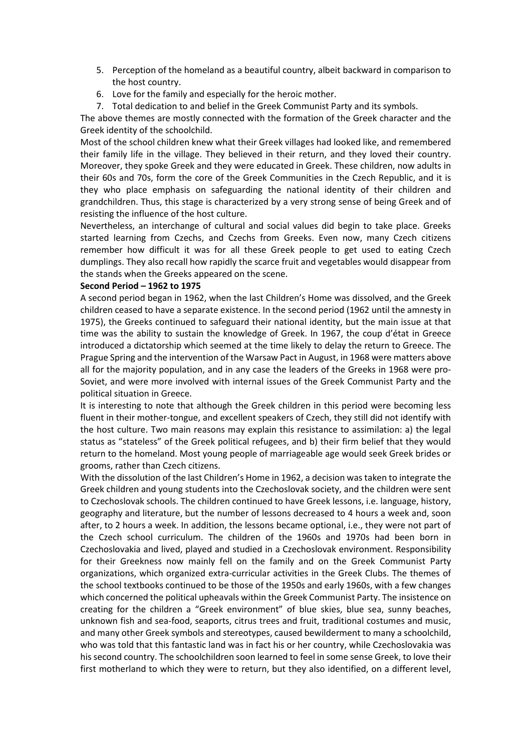- 5. Perception of the homeland as a beautiful country, albeit backward in comparison to the host country.
- 6. Love for the family and especially for the heroic mother.
- 7. Total dedication to and belief in the Greek Communist Party and its symbols.

The above themes are mostly connected with the formation of the Greek character and the Greek identity of the schoolchild.

Most of the school children knew what their Greek villages had looked like, and remembered their family life in the village. They believed in their return, and they loved their country. Moreover, they spoke Greek and they were educated in Greek. These children, now adults in their 60s and 70s, form the core of the Greek Communities in the Czech Republic, and it is they who place emphasis on safeguarding the national identity of their children and grandchildren. Thus, this stage is characterized by a very strong sense of being Greek and of resisting the influence of the host culture.

Nevertheless, an interchange of cultural and social values did begin to take place. Greeks started learning from Czechs, and Czechs from Greeks. Even now, many Czech citizens remember how difficult it was for all these Greek people to get used to eating Czech dumplings. They also recall how rapidly the scarce fruit and vegetables would disappear from the stands when the Greeks appeared on the scene.

#### **Second Period – 1962 to 1975**

A second period began in 1962, when the last Children's Home was dissolved, and the Greek children ceased to have a separate existence. In the second period (1962 until the amnesty in 1975), the Greeks continued to safeguard their national identity, but the main issue at that time was the ability to sustain the knowledge of Greek. In 1967, the coup d'état in Greece introduced a dictatorship which seemed at the time likely to delay the return to Greece. The Prague Spring and the intervention of the Warsaw Pact in August, in 1968 were matters above all for the majority population, and in any case the leaders of the Greeks in 1968 were pro-Soviet, and were more involved with internal issues of the Greek Communist Party and the political situation in Greece.

It is interesting to note that although the Greek children in this period were becoming less fluent in their mother-tongue, and excellent speakers of Czech, they still did not identify with the host culture. Two main reasons may explain this resistance to assimilation: a) the legal status as "stateless" of the Greek political refugees, and b) their firm belief that they would return to the homeland. Most young people of marriageable age would seek Greek brides or grooms, rather than Czech citizens.

With the dissolution of the last Children's Home in 1962, a decision was taken to integrate the Greek children and young students into the Czechoslovak society, and the children were sent to Czechoslovak schools. The children continued to have Greek lessons, i.e. language, history, geography and literature, but the number of lessons decreased to 4 hours a week and, soon after, to 2 hours a week. In addition, the lessons became optional, i.e., they were not part of the Czech school curriculum. The children of the 1960s and 1970s had been born in Czechoslovakia and lived, played and studied in a Czechoslovak environment. Responsibility for their Greekness now mainly fell on the family and on the Greek Communist Party organizations, which organized extra-curricular activities in the Greek Clubs. The themes of the school textbooks continued to be those of the 1950s and early 1960s, with a few changes which concerned the political upheavals within the Greek Communist Party. The insistence on creating for the children a "Greek environment" of blue skies, blue sea, sunny beaches, unknown fish and sea-food, seaports, citrus trees and fruit, traditional costumes and music, and many other Greek symbols and stereotypes, caused bewilderment to many a schoolchild, who was told that this fantastic land was in fact his or her country, while Czechoslovakia was his second country. The schoolchildren soon learned to feel in some sense Greek, to love their first motherland to which they were to return, but they also identified, on a different level,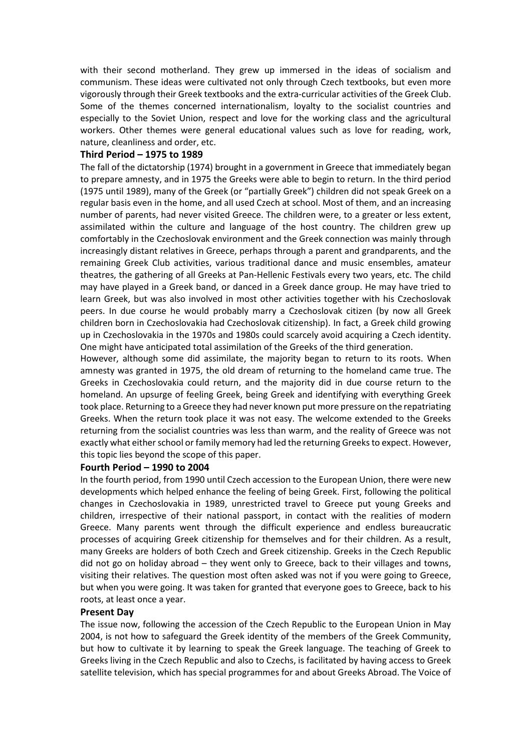with their second motherland. They grew up immersed in the ideas of socialism and communism. These ideas were cultivated not only through Czech textbooks, but even more vigorously through their Greek textbooks and the extra-curricular activities of the Greek Club. Some of the themes concerned internationalism, loyalty to the socialist countries and especially to the Soviet Union, respect and love for the working class and the agricultural workers. Other themes were general educational values such as love for reading, work, nature, cleanliness and order, etc.

### **Third Period – 1975 to 1989**

The fall of the dictatorship (1974) brought in a government in Greece that immediately began to prepare amnesty, and in 1975 the Greeks were able to begin to return. In the third period (1975 until 1989), many of the Greek (or "partially Greek") children did not speak Greek on a regular basis even in the home, and all used Czech at school. Most of them, and an increasing number of parents, had never visited Greece. The children were, to a greater or less extent, assimilated within the culture and language of the host country. The children grew up comfortably in the Czechoslovak environment and the Greek connection was mainly through increasingly distant relatives in Greece, perhaps through a parent and grandparents, and the remaining Greek Club activities, various traditional dance and music ensembles, amateur theatres, the gathering of all Greeks at Pan-Hellenic Festivals every two years, etc. The child may have played in a Greek band, or danced in a Greek dance group. He may have tried to learn Greek, but was also involved in most other activities together with his Czechoslovak peers. In due course he would probably marry a Czechoslovak citizen (by now all Greek children born in Czechoslovakia had Czechoslovak citizenship). In fact, a Greek child growing up in Czechoslovakia in the 1970s and 1980s could scarcely avoid acquiring a Czech identity. One might have anticipated total assimilation of the Greeks of the third generation.

However, although some did assimilate, the majority began to return to its roots. When amnesty was granted in 1975, the old dream of returning to the homeland came true. The Greeks in Czechoslovakia could return, and the majority did in due course return to the homeland. An upsurge of feeling Greek, being Greek and identifying with everything Greek took place. Returning to a Greece they had never known put more pressure on the repatriating Greeks. When the return took place it was not easy. The welcome extended to the Greeks returning from the socialist countries was less than warm, and the reality of Greece was not exactly what either school or family memory had led the returning Greeks to expect. However, this topic lies beyond the scope of this paper.

#### **Fourth Period – 1990 to 2004**

In the fourth period, from 1990 until Czech accession to the European Union, there were new developments which helped enhance the feeling of being Greek. First, following the political changes in Czechoslovakia in 1989, unrestricted travel to Greece put young Greeks and children, irrespective of their national passport, in contact with the realities of modern Greece. Many parents went through the difficult experience and endless bureaucratic processes of acquiring Greek citizenship for themselves and for their children. As a result, many Greeks are holders of both Czech and Greek citizenship. Greeks in the Czech Republic did not go on holiday abroad – they went only to Greece, back to their villages and towns, visiting their relatives. The question most often asked was not if you were going to Greece, but when you were going. It was taken for granted that everyone goes to Greece, back to his roots, at least once a year.

#### **Present Day**

The issue now, following the accession of the Czech Republic to the European Union in May 2004, is not how to safeguard the Greek identity of the members of the Greek Community, but how to cultivate it by learning to speak the Greek language. The teaching of Greek to Greeks living in the Czech Republic and also to Czechs, is facilitated by having access to Greek satellite television, which has special programmes for and about Greeks Abroad. The Voice of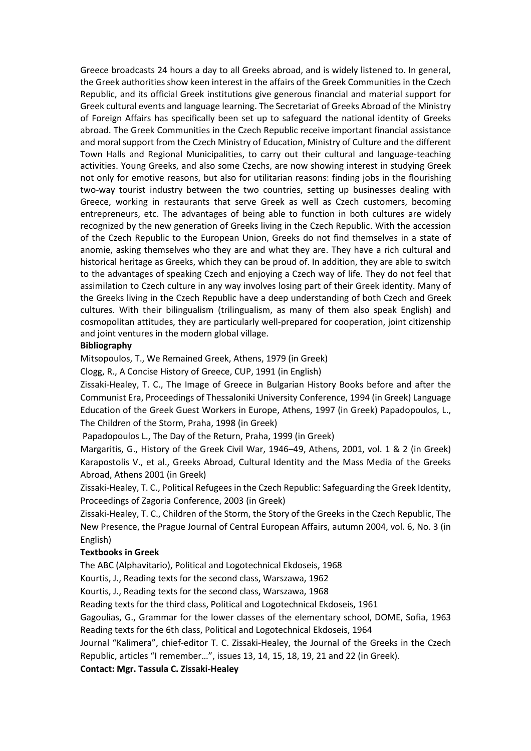Greece broadcasts 24 hours a day to all Greeks abroad, and is widely listened to. In general, the Greek authorities show keen interest in the affairs of the Greek Communities in the Czech Republic, and its official Greek institutions give generous financial and material support for Greek cultural events and language learning. The Secretariat of Greeks Abroad of the Ministry of Foreign Affairs has specifically been set up to safeguard the national identity of Greeks abroad. The Greek Communities in the Czech Republic receive important financial assistance and moral support from the Czech Ministry of Education, Ministry of Culture and the different Town Halls and Regional Municipalities, to carry out their cultural and language-teaching activities. Young Greeks, and also some Czechs, are now showing interest in studying Greek not only for emotive reasons, but also for utilitarian reasons: finding jobs in the flourishing two-way tourist industry between the two countries, setting up businesses dealing with Greece, working in restaurants that serve Greek as well as Czech customers, becoming entrepreneurs, etc. The advantages of being able to function in both cultures are widely recognized by the new generation of Greeks living in the Czech Republic. With the accession of the Czech Republic to the European Union, Greeks do not find themselves in a state of anomie, asking themselves who they are and what they are. They have a rich cultural and historical heritage as Greeks, which they can be proud of. In addition, they are able to switch to the advantages of speaking Czech and enjoying a Czech way of life. They do not feel that assimilation to Czech culture in any way involves losing part of their Greek identity. Many of the Greeks living in the Czech Republic have a deep understanding of both Czech and Greek cultures. With their bilingualism (trilingualism, as many of them also speak English) and cosmopolitan attitudes, they are particularly well-prepared for cooperation, joint citizenship and joint ventures in the modern global village.

## **Bibliography**

Mitsopoulos, T., We Remained Greek, Athens, 1979 (in Greek)

Clogg, R., A Concise History of Greece, CUP, 1991 (in English)

Zissaki-Healey, T. C., The Image of Greece in Bulgarian History Books before and after the Communist Era, Proceedings of Thessaloniki University Conference, 1994 (in Greek) Language Education of the Greek Guest Workers in Europe, Athens, 1997 (in Greek) Papadopoulos, L., The Children of the Storm, Praha, 1998 (in Greek)

Papadopoulos L., The Day of the Return, Praha, 1999 (in Greek)

Margaritis, G., History of the Greek Civil War, 1946–49, Athens, 2001, vol. 1 & 2 (in Greek) Karapostolis V., et al., Greeks Abroad, Cultural Identity and the Mass Media of the Greeks Abroad, Athens 2001 (in Greek)

Zissaki-Healey, T. C., Political Refugees in the Czech Republic: Safeguarding the Greek Identity, Proceedings of Zagoria Conference, 2003 (in Greek)

Zissaki-Healey, T. C., Children of the Storm, the Story of the Greeks in the Czech Republic, The New Presence, the Prague Journal of Central European Affairs, autumn 2004, vol. 6, No. 3 (in English)

## **Textbooks in Greek**

The ABC (Alphavitario), Political and Logotechnical Ekdoseis, 1968

Kourtis, J., Reading texts for the second class, Warszawa, 1962

Kourtis, J., Reading texts for the second class, Warszawa, 1968

Reading texts for the third class, Political and Logotechnical Ekdoseis, 1961

Gagoulias, G., Grammar for the lower classes of the elementary school, DOME, Sofia, 1963 Reading texts for the 6th class, Political and Logotechnical Ekdoseis, 1964

Journal "Kalimera", chief-editor T. C. Zissaki-Healey, the Journal of the Greeks in the Czech Republic, articles "I remember…", issues 13, 14, 15, 18, 19, 21 and 22 (in Greek).

**Contact: Mgr. Tassula C. Zissaki-Healey**